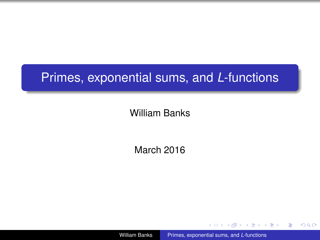# Primes, exponential sums, and *L*-functions

### William Banks

March 2016

William Banks [Primes, exponential sums, and](#page-50-0) *L*-functions

→ 重き 4 重き 1

4 同 3

÷.

<span id="page-0-0"></span> $2990$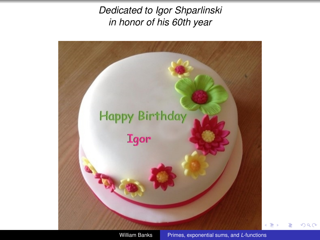*Dedicated to Igor Shparlinski in honor of his 60th year*



<span id="page-1-0"></span> $290$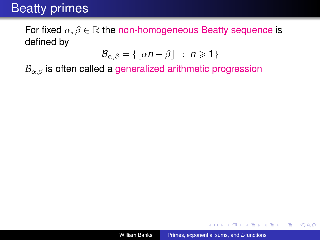For fixed  $\alpha, \beta \in \mathbb{R}$  the non-homogeneous Beatty sequence is defined by

$$
\mathcal{B}_{\alpha,\beta} = \{ \lfloor \alpha n + \beta \rfloor \ : \ n \geq 1 \}
$$

 $B_{\alpha,\beta}$  is often called a generalized arithmetic progression

K 何 ▶ K ヨ ▶ K ヨ ▶ ...

÷.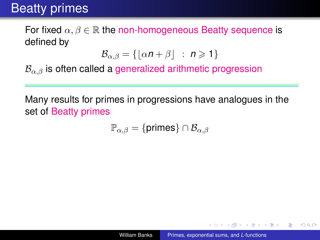For fixed  $\alpha, \beta \in \mathbb{R}$  the non-homogeneous Beatty sequence is defined by

$$
\mathcal{B}_{\alpha,\beta} = \{ \lfloor \alpha n + \beta \rfloor \ : \ n \geq 1 \}
$$

 $B_{\alpha,\beta}$  is often called a generalized arithmetic progression

Many results for primes in progressions have analogues in the set of Beatty primes

$$
\mathbb{P}_{\alpha,\beta} = \{\text{primes}\} \cap \mathcal{B}_{\alpha,\beta}
$$

K 何 ▶ ス ヨ ▶ ス ヨ ▶ ..

<span id="page-3-0"></span>B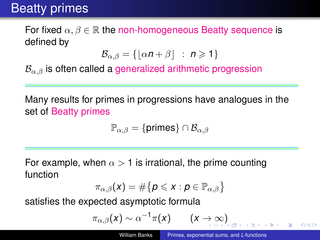For fixed  $\alpha, \beta \in \mathbb{R}$  the non-homogeneous Beatty sequence is defined by

$$
\mathcal{B}_{\alpha,\beta} = \{ \lfloor \alpha n + \beta \rfloor \ : \ n \geq 1 \}
$$

 $B_{\alpha\beta}$  is often called a generalized arithmetic progression

Many results for primes in progressions have analogues in the set of Beatty primes

$$
\mathbb{P}_{\alpha,\beta} = \{\text{primes}\} \cap \mathcal{B}_{\alpha,\beta}
$$

For example, when  $\alpha > 1$  is irrational, the prime counting function

$$
\pi_{\alpha,\beta}(\mathsf{x}) = \#\big\{\boldsymbol{\rho}\leqslant \mathsf{x}: \boldsymbol{\rho}\in\mathbb{P}_{\alpha,\beta}\big\}
$$

satisfies the expected asymptotic formula

$$
\pi_{\alpha,\beta}(x) \sim \alpha^{-1} \pi(x) \qquad (x \to \infty)
$$

 $\Omega$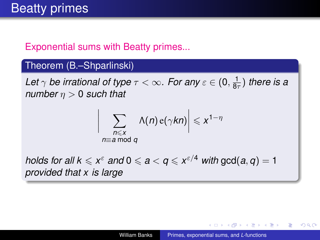### Exponential sums with Beatty primes...

 $\overline{\phantom{a}}$  $\overline{\phantom{a}}$  $\overline{\phantom{a}}$  $\overline{\phantom{a}}$ 

#### Theorem (B.–Shparlinski)

Let  $\gamma$  be irrational of type  $\tau < \infty$ . For any  $\varepsilon \in (0,\frac{1}{8\tau})$  there is a *number*  $n > 0$  *such that* 

$$
\sum_{\substack{n \leqslant x \\ n \equiv a \bmod q}} \Lambda(n) e(\gamma k n) \Big| \leqslant x^{1-\eta}
$$

*holds for all k*  $\leqslant x^{\varepsilon}$  *and* 0  $\leqslant a < q \leqslant x^{\varepsilon/4}$  *with* gcd(*a*, *q*) = 1 *provided that x is large*

<span id="page-5-0"></span> $QQ$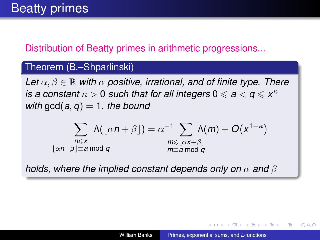### Distribution of Beatty primes in arithmetic progressions...

#### Theorem (B.–Shparlinski)

*Let*  $\alpha, \beta \in \mathbb{R}$  *with*  $\alpha$  *positive, irrational, and of finite type. There is a constant*  $\kappa > 0$  *such that for all integers*  $0 \leq a < q \leq x^{\kappa}$ *with*  $gcd(a, q) = 1$ *, the bound* 

$$
\sum_{\substack{n \leq x \\ \lfloor \alpha n + \beta \rfloor \equiv a \bmod q}} \Lambda(\lfloor \alpha n + \beta \rfloor) = \alpha^{-1} \sum_{\substack{m \leq \lfloor \alpha x + \beta \rfloor \\ m \equiv a \bmod q}} \Lambda(m) + O(x^{1-\kappa})
$$

*holds, where the implied constant depends only on*  $\alpha$  *and*  $\beta$ 

 $QQ$ э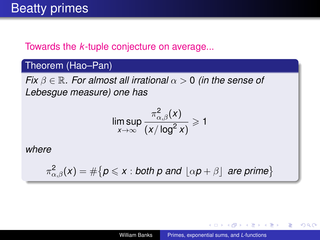#### Towards the *k*-tuple conjecture on average...

#### Theorem (Hao–Pan)

*Fix*  $\beta \in \mathbb{R}$ *. For almost all irrational*  $\alpha > 0$  *(in the sense of Lebesgue measure) one has*

$$
\limsup_{x\to\infty}\frac{\pi_{\alpha,\beta}^2(x)}{(x/\log^2 x)}\geqslant 1
$$

*where*

$$
\pi_{\alpha,\beta}^2(x) = \#\{p \leqslant x : \text{both } p \text{ and } \lfloor \alpha p + \beta \rfloor \text{ are prime}\}
$$

K 何 ▶ K ヨ ▶ K ヨ ▶

B

 $QQ$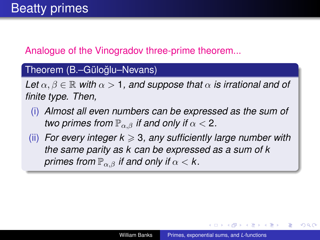### Analogue of the Vinogradov three-prime theorem...

#### Theorem (B.–Güloğlu–Nevans)

*Let*  $\alpha, \beta \in \mathbb{R}$  *with*  $\alpha > 1$ , and suppose that  $\alpha$  *is irrational and of finite type. Then,*

- (i) *Almost all even numbers can be expressed as the sum of two primes from*  $\mathbb{P}_{\alpha,\beta}$  *if and only if*  $\alpha < 2$ *.*
- $(iii)$  *For every integer k*  $\geq 3$ *, any sufficiently large number with the same parity as k can be expressed as a sum of k primes from*  $\mathbb{P}_{\alpha,\beta}$  *if and only if*  $\alpha < k$ .

K 何 ▶ K ヨ ▶ K ヨ ▶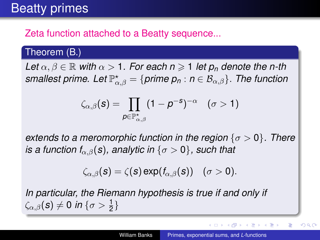### Zeta function attached to a Beatty sequence...

#### Theorem (B.)

*Let*  $\alpha, \beta \in \mathbb{R}$  *with*  $\alpha > 1$ *. For each n*  $\geq 1$  *let*  $p_n$  *denote the n-th*  $s$ mallest prime. Let  $\mathbb{P}^\star_{\alpha,\beta} = \{$  prime  $p_n : n \in \mathcal{B}_{\alpha,\beta}\}$ . The function

$$
\zeta_{\alpha,\beta}(\boldsymbol{s}) = \prod_{\boldsymbol{\rho} \in \mathbb{P}^{\star}_{\alpha,\beta}} (1-\boldsymbol{\rho}^{-\boldsymbol{s}})^{-\alpha} \quad (\sigma > 1)
$$

*extends to a meromorphic function in the region* { $σ > 0$ }. There *is a function f*<sub>α,β</sub>(*s*)*, analytic in* { $\sigma > 0$ }*, such that* 

$$
\zeta_{\alpha,\beta}(s) = \zeta(s) \exp(f_{\alpha,\beta}(s)) \quad (\sigma > 0).
$$

*In particular, the Riemann hypothesis is true if and only if*  $\zeta_{\alpha,\beta}(\mathbf{s})\neq 0$  in  $\{\sigma>\frac{1}{2}\}$ 

イロメ イ押メ イヨメ イヨメー

 $290$ 

B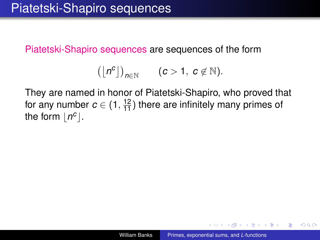Piatetski-Shapiro sequences are sequences of the form

$$
(\lfloor n^c\rfloor)_{n\in\mathbb{N}}\qquad(c>1,\ c\not\in\mathbb{N}).
$$

They are named in honor of Piatetski-Shapiro, who proved that for any number  $c \in (1, \frac{12}{11})$  there are infinitely many primes of the form  $\lfloor n^c \rfloor$ .

K 何 ▶ K ヨ ▶ K ヨ ▶

 $QQ$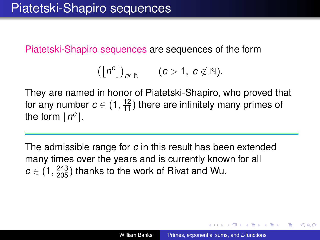Piatetski-Shapiro sequences are sequences of the form

$$
(\lfloor n^c\rfloor)_{n\in\mathbb{N}}\qquad(c>1,\ c\not\in\mathbb{N}).
$$

They are named in honor of Piatetski-Shapiro, who proved that for any number  $c \in (1, \frac{12}{11})$  there are infinitely many primes of the form  $\lfloor n^c \rfloor$ .

The admissible range for *c* in this result has been extended many times over the years and is currently known for all  $c \in (1, \frac{243}{205})$  thanks to the work of Rivat and Wu.

K 何 ▶ K ヨ ▶ K ヨ ▶

 $290$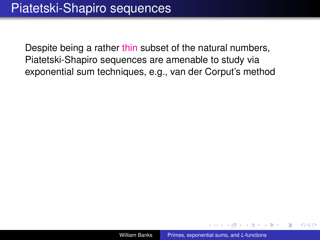Despite being a rather thin subset of the natural numbers, Piatetski-Shapiro sequences are amenable to study via exponential sum techniques, e.g., van der Corput's method

→ 重き → 重き

ă.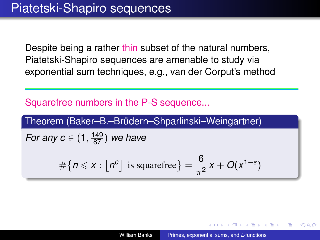Despite being a rather thin subset of the natural numbers, Piatetski-Shapiro sequences are amenable to study via exponential sum techniques, e.g., van der Corput's method

Squarefree numbers in the P-S sequence...

Theorem (Baker–B.–Brüdern–Shparlinski–Weingartner)

*For any c*  $\in$   $(1, \frac{149}{87})$  *we have* 

$$
\#\{n\leqslant x:\lfloor n^c\rfloor \text{ is squarefree}\}=\frac{6}{\pi^2}x+O(x^{1-\epsilon})
$$

 $\langle \oplus \rangle$  >  $\langle \oplus \rangle$  >  $\langle \oplus \rangle$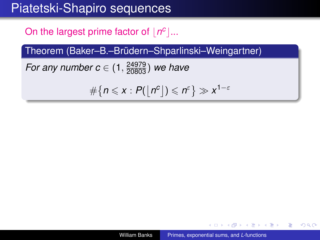### Piatetski-Shapiro sequences

On the largest prime factor of  $\lfloor n^c \rfloor$ ...

Theorem (Baker–B.–Brüdern–Shparlinski–Weingartner)

*For any number c*  $\in (1, \frac{24979}{20803})$  *we have* 

$$
\#\big\{n\leqslant x:P(\big\lfloor n^c\big\rfloor)\leqslant n^{\varepsilon}\big\}\gg x^{1-\varepsilon}
$$

イロト イ押 トイヨ トイヨ トー

 $299$ 

÷.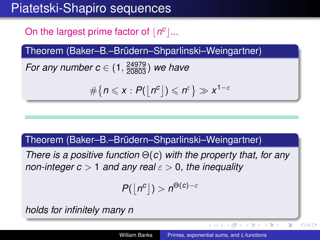## Piatetski-Shapiro sequences

On the largest prime factor of  $\lfloor n^c \rfloor$ ...

Theorem (Baker–B.–Brüdern–Shparlinski–Weingartner)

*For any number c*  $\in (1, \frac{24979}{20803})$  *we have* 

$$
\#\big\{n\leqslant x:P(\lfloor n^c\rfloor)\leqslant n^{\varepsilon}\big\}\gg x^{1-\varepsilon}
$$

#### Theorem (Baker–B.–Brüdern–Shparlinski–Weingartner)

*There is a positive function* Θ(*c*) *with the property that, for any non-integer c* > 1 *and any real* ε > 0*, the inequality*

$$
P(\lfloor n^c\rfloor) > n^{\Theta(c)-\varepsilon}
$$

*holds for infinitely many n*

E

 $2Q$ 

K ロ ▶ K 御 ▶ K ヨ ▶ K ヨ ▶ .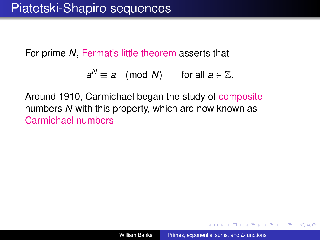For prime *N*, Fermat's little theorem asserts that

$$
a^N \equiv a \pmod{N} \qquad \text{for all } a \in \mathbb{Z}.
$$

Around 1910, Carmichael began the study of composite numbers *N* with this property, which are now known as Carmichael numbers

K 何 ▶ K ヨ ▶ K ヨ ▶

B

 $QQ$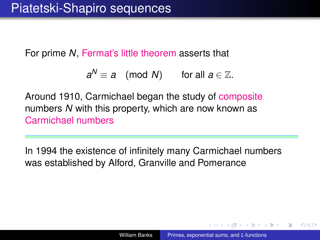For prime *N*, Fermat's little theorem asserts that

$$
a^N \equiv a \pmod{N} \qquad \text{for all } a \in \mathbb{Z}.
$$

Around 1910, Carmichael began the study of composite numbers *N* with this property, which are now known as Carmichael numbers

In 1994 the existence of infinitely many Carmichael numbers was established by Alford, Granville and Pomerance

つへへ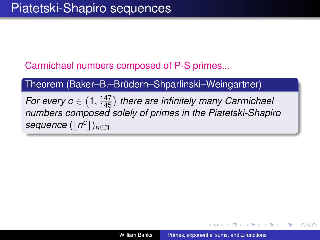Carmichael numbers composed of P-S primes...

Theorem (Baker–B.–Brüdern–Shparlinski–Weingartner)

*For every c*  $\in$   $(1, \frac{147}{145})$  there are infinitely many Carmichael *numbers composed solely of primes in the Piatetski-Shapiro*  $\mathsf{sequence}\left(\lfloor n^c\rfloor\right)_{n\in\mathbb{N}}$ 

K 何 ▶ K ヨ ▶ K ヨ ▶ ...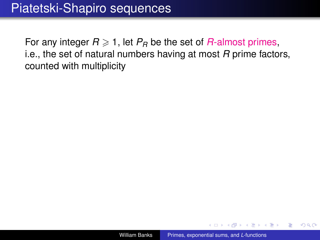For any integer  $R \ge 1$ , let  $P_R$  be the set of  $R$ -almost primes, i.e., the set of natural numbers having at most *R* prime factors, counted with multiplicity

 $\langle \oplus \rangle$  >  $\langle \oplus \rangle$  >  $\langle \oplus \rangle$ 

B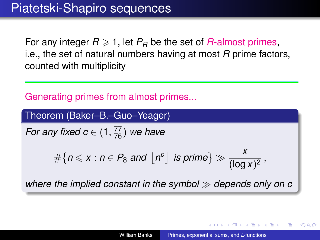For any integer  $R \geq 1$ , let  $P_R$  be the set of  $R$ -almost primes, i.e., the set of natural numbers having at most *R* prime factors, counted with multiplicity

Generating primes from almost primes...

Theorem (Baker–B.–Guo–Yeager)

*For any fixed c*  $\in$   $(1, \frac{77}{76})$  *we have* 

$$
\#\big\{n\leqslant x:n\in P_8\text{ and }\big\lfloor n^c\big\rfloor\text{ is prime}\big\}\gg \frac{x}{(\log x)^2}\,,
$$

*where the implied constant in the symbol depends only on c*

 $\left\{ \begin{array}{ccc} 1 & 0 & 0 \\ 0 & 1 & 0 \end{array} \right.$ 

つへへ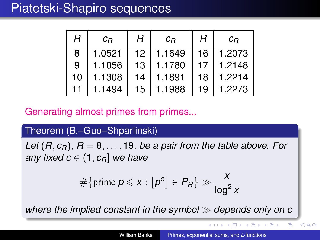### Piatetski-Shapiro sequences

| R  | $C_{B}$ | R  | $C_{B}$ | R  | $C_{B}$ |
|----|---------|----|---------|----|---------|
| 8  | 1.0521  | 12 | 1.1649  | 16 | 1.2073  |
| 9  | 1.1056  | 13 | 1.1780  | 17 | 1.2148  |
| 10 | 1.1308  | 14 | 1.1891  | 18 | 1.2214  |
| 11 | 1.1494  | 15 | 1.1988  | 19 | 1.2273  |

Generating almost primes from primes...

Theorem (B.–Guo–Shparlinski)

*Let*  $(R, c_R)$ ,  $R = 8, \ldots, 19$ , *be a pair from the table above. For any fixed c*  $\in$  (1,  $c_R$ ) *we have* 

$$
\#\{\text{prime } p \leqslant x : \lfloor p^c \rfloor \in P_R\} \gg \frac{x}{\log^2 x}
$$

*where the implied constant in the symbol depends only on c*

E

 $2Q$ 

K 御 ▶ K ヨ ▶ K ヨ ▶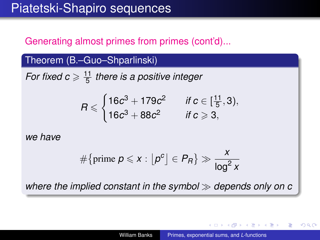### Generating almost primes from primes (cont'd)...

#### Theorem (B.–Guo–Shparlinski)

*For fixed c*  $\geqslant \frac{11}{5}$ 5 *there is a positive integer*

$$
R \leqslant \begin{cases} 16c^3 + 179c^2 & \text{if } c \in [\frac{11}{5}, 3), \\ 16c^3 + 88c^2 & \text{if } c \geqslant 3, \end{cases}
$$

*we have*

$$
\#\{\text{prime } p \leqslant x : \lfloor p^c \rfloor \in P_R\} \gg \frac{x}{\log^2 x}
$$

*where the implied constant in the symbol depends only on c*

K 何 ▶ K ヨ ▶ K ヨ ▶ ..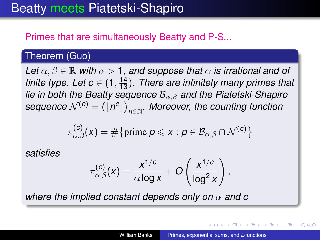### Primes that are simultaneously Beatty and P-S...

#### Theorem (Guo)

*Let*  $\alpha, \beta \in \mathbb{R}$  *with*  $\alpha > 1$ , and suppose that  $\alpha$  is irrational and of *finite type. Let c*  $\in$  (1,  $\frac{14}{13}$ ). There are infinitely many primes that *lie in both the Beatty sequence* Bα,β *and the Piatetski-Shapiro*  $\textit{sequence } \mathcal{N}^{(c)} = (\lfloor n^c \rfloor)_{n \in \mathbb{N}}.$  Moreover, the counting function

$$
\pi_{\alpha,\beta}^{(\textbf{\textit{c}})}(\textbf{\textit{x}})=\#\big\{ \text{prime} \ \textbf{\textit{p}}\leqslant \textbf{\textit{x}}: \textbf{\textit{p}}\in \mathcal{B}_{\alpha,\beta}\cap \mathcal{N}^{(\textbf{\textit{c}})}\big\}
$$

*satisfies*

$$
\pi_{\alpha,\beta}^{(\mathcal{C})}(x) = \frac{x^{1/\mathcal{C}}}{\alpha \log x} + O\left(\frac{x^{1/\mathcal{C}}}{\log^2 x}\right),
$$

*where the implied constant depends only on*  $\alpha$  *and c* 

<span id="page-23-0"></span>イロメ イ押 メイヨメ イヨメ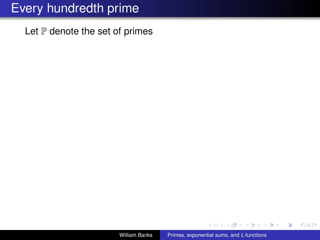Let  $P$  denote the set of primes

4 0 8

K 何 ▶ K ヨ ▶ K ヨ ▶

重

<span id="page-24-0"></span> $2990$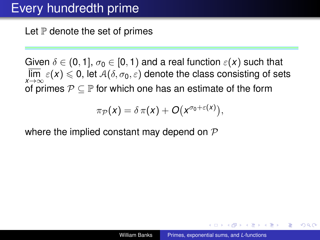Let  $\mathbb P$  denote the set of primes

Given  $\delta \in (0, 1], \sigma_0 \in [0, 1)$  and a real function  $\varepsilon(x)$  such that  $\varlimsup_{x\to\infty}\varepsilon(x)\leqslant 0,$  let  $\mathcal{A}(\delta,\sigma_0,\varepsilon)$  denote the class consisting of sets of primes  $P \subseteq P$  for which one has an estimate of the form

$$
\pi_{\mathcal{P}}(x)=\delta\,\pi(x)+O(x^{\sigma_0+\varepsilon(x)}),
$$

where the implied constant may depend on  $\mathcal P$ 

← 伊 \* + ヨ \* + ヨ \*

<span id="page-25-0"></span>つへへ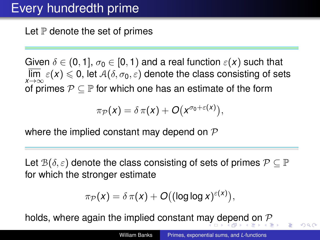Let  $\mathbb P$  denote the set of primes

Given  $\delta \in (0, 1], \sigma_0 \in [0, 1)$  and a real function  $\varepsilon(x)$  such that  $\varlimsup_{x\to\infty}\varepsilon(x)\leqslant 0,$  let  $\mathcal{A}(\delta,\sigma_0,\varepsilon)$  denote the class consisting of sets of primes  $P \subseteq P$  for which one has an estimate of the form

$$
\pi_{\mathcal{P}}(x)=\delta\,\pi(x)+O(x^{\sigma_0+\varepsilon(x)}),
$$

where the implied constant may depend on  $\mathcal P$ 

Let  $\mathcal{B}(\delta,\varepsilon)$  denote the class consisting of sets of primes  $\mathcal{P} \subseteq \mathbb{P}$ for which the stronger estimate

$$
\pi_{\mathcal{P}}(x) = \delta \pi(x) + O((\log \log x)^{\varepsilon(x)}),
$$

holds, where again the implied constant m[ay](#page-25-0) [de](#page-27-0)[p](#page-24-0)[e](#page-26-0)[n](#page-27-0)[d](#page-0-0) [on](#page-50-0)  $P$ 

<span id="page-26-0"></span> $\Omega$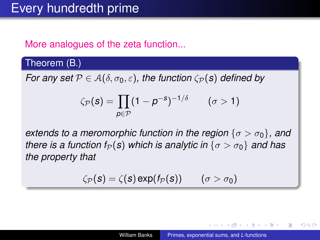### More analogues of the zeta function...

#### Theorem (B.)

*For any set*  $P \in A(\delta, \sigma_0, \varepsilon)$ , the function  $\zeta_{\mathcal{P}}(s)$  defined by

$$
\zeta_{\mathcal{P}}(\boldsymbol{s}) = \prod_{p \in \mathcal{P}} (1 - p^{-\boldsymbol{s}})^{-1/\delta} \qquad (\sigma > 1)
$$

*extends to a meromorphic function in the region*  $\{\sigma > \sigma_0\}$ , and *there is a function f<sub>P</sub>(s) which is analytic in*  $\{\sigma > \sigma_0\}$  *and has the property that*

$$
\zeta_{\mathcal{P}}(s) = \zeta(s) \exp(f_{\mathcal{P}}(s)) \qquad (\sigma > \sigma_0)
$$

K 何 ▶ K ヨ ▶ K ヨ ▶

 $QQ$ 

<span id="page-27-0"></span>€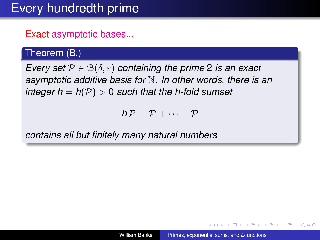### Exact asymptotic bases...

### Theorem (B.)

*Every set*  $P \in B(\delta, \varepsilon)$  *containing the prime* 2 *is an exact asymptotic additive basis for* N*. In other words, there is an integer h* =  $h(\mathcal{P}) > 0$  *such that the h-fold sumset* 

 $h \mathcal{P} = \mathcal{P} + \cdots + \mathcal{P}$ 

*contains all but finitely many natural numbers*

K 何 ▶ K ヨ ▶ K ヨ ▶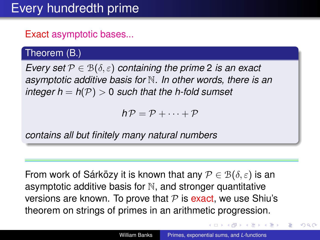### Exact asymptotic bases...

### Theorem (B.)

*Every set*  $P \in B(\delta, \varepsilon)$  *containing the prime* 2 *is an exact asymptotic additive basis for* N*. In other words, there is an integer h =*  $h(\mathcal{P}) > 0$  *such that the h-fold sumset* 

 $h \mathcal{P} = \mathcal{P} + \cdots + \mathcal{P}$ 

*contains all but finitely many natural numbers*

From work of Sárközy it is known that any  $\mathcal{P} \in \mathcal{B}(\delta, \varepsilon)$  is an asymptotic additive basis for  $N$ , and stronger quantitative versions are known. To prove that  $P$  is exact, we use Shiu's theorem on strings of primes in an arithmetic progression.

**K ロ ▶ K 何 ▶ K ヨ ▶ K ヨ ▶** 

 $290$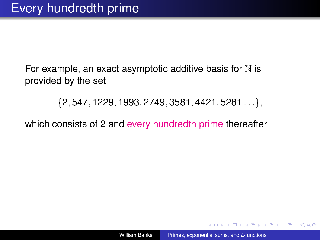For example, an exact asymptotic additive basis for  $N$  is provided by the set

 $\{2, 547, 1229, 1993, 2749, 3581, 4421, 5281 \ldots\},\$ 

which consists of 2 and every hundredth prime thereafter

← 伊 \* + ヨ \* + ヨ \*

 $2Q$ 

э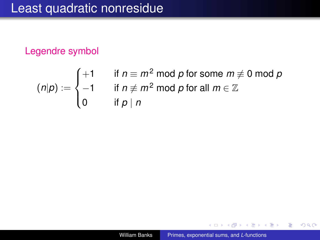### Legendre symbol

$$
(n|p) := \begin{cases} +1 & \text{if } n \equiv m^2 \bmod p \text{ for some } m \not\equiv 0 \bmod p \\ -1 & \text{if } n \not\equiv m^2 \bmod p \text{ for all } m \in \mathbb{Z} \\ 0 & \text{if } p \mid n \end{cases}
$$

4日下

K 何 ▶ K ヨ ▶ K ヨ ▶ ...

重

 $299$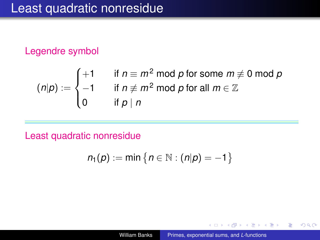#### Legendre symbol

$$
(n|p) := \begin{cases} +1 & \text{if } n \equiv m^2 \bmod p \text{ for some } m \not\equiv 0 \bmod p \\ -1 & \text{if } n \not\equiv m^2 \bmod p \text{ for all } m \in \mathbb{Z} \\ 0 & \text{if } p \mid n \end{cases}
$$

Least quadratic nonresidue

$$
n_1(p) := \min\big\{n \in \mathbb{N} : (n|p) = -1\big\}
$$

4 0 8

K 何 ▶ K ヨ ▶ K ヨ ▶

÷.

<span id="page-32-0"></span> $2990$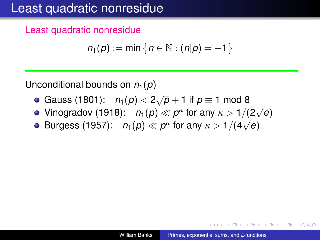## Least quadratic nonresidue

Least quadratic nonresidue

$$
n_1(p) := \min\left\{n \in \mathbb{N} : (n|p) = -1\right\}
$$

Unconditional bounds on  $n_1(p)$ 

- Gauss (1801):  $n_1(p) < 2\sqrt{p} + 1$  if  $p \equiv 1 \text{ mod } 8$
- Vinogradov (1918):  $n_1(p) \ll p^{\kappa}$  for any  $\kappa > 1/(2)$ √ *e*) √
- Burgess (1957):  $n_1(p) \ll p^{\kappa}$  for any  $\kappa > 1/(4$ *e*)

K 何 ▶ K ヨ ▶ K ヨ ▶ ...

B

<span id="page-33-0"></span> $QQ$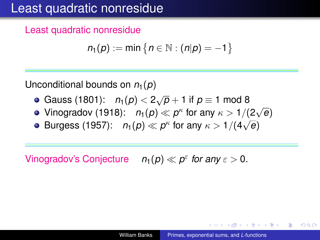## Least quadratic nonresidue

Least quadratic nonresidue

$$
n_1(p) := \min\left\{n \in \mathbb{N} : (n|p) = -1\right\}
$$

Unconditional bounds on  $n_1(p)$ 

- Gauss (1801):  $n_1(p) < 2\sqrt{p} + 1$  if  $p \equiv 1 \text{ mod } 8$
- Vinogradov (1918):  $n_1(p) \ll p^{\kappa}$  for any  $\kappa > 1/(2)$ √ *e*) √
- Burgess (1957):  $n_1(p) \ll p^{\kappa}$  for any  $\kappa > 1/(4$ *e*)

Vinogradov's Conjecture  $n_1(p) \ll p^{\varepsilon}$  for any  $\varepsilon > 0$ .

K 何 ▶ K ヨ ▶ K ヨ ▶ ...

B

<span id="page-34-0"></span> $QQ$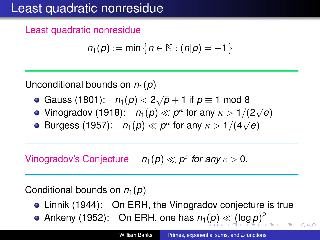## Least quadratic nonresidue

Least quadratic nonresidue

$$
n_1(p) := \min\left\{n \in \mathbb{N} : (n|p) = -1\right\}
$$

Unconditional bounds on  $n_1(p)$ 

- Gauss (1801):  $n_1(p) < 2\sqrt{p} + 1$  if  $p \equiv 1 \text{ mod } 8$
- Vinogradov (1918):  $n_1(p) \ll p^{\kappa}$  for any  $\kappa > 1/(2)$ √ *e*) √
- Burgess (1957):  $n_1(p) \ll p^{\kappa}$  for any  $\kappa > 1/(4$ *e*)

Vinogradov's Conjecture  $n_1(p) \ll p^{\varepsilon}$  for any  $\varepsilon > 0$ .

Conditional bounds on  $n_1(p)$ 

- Linnik (1944): On ERH, the Vinogradov conjecture is true
- Ankeny [\(](#page-35-0)1952[\)](#page-50-0): On ERH, one has  $n_1(p) \ll (\log p)^2$  $n_1(p) \ll (\log p)^2$  $n_1(p) \ll (\log p)^2$  $n_1(p) \ll (\log p)^2$  $n_1(p) \ll (\log p)^2$  $n_1(p) \ll (\log p)^2$

<span id="page-35-0"></span> $\Omega$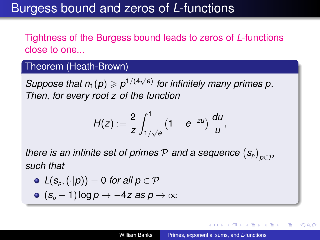### Burgess bound and zeros of *L*-functions

### Tightness of the Burgess bound leads to zeros of *L*-functions close to one...

#### Theorem (Heath-Brown)

*Suppose that*  $n_1(p) \geqslant p^{1/(4\sqrt{e})}$  for infinitely many primes p. *Then, for every root z of the function*

$$
H(z):=\frac{2}{z}\int_{1/\sqrt{e}}^1(1-e^{-zu})\,\frac{du}{u},
$$

*there is an infinite set of primes*  $\mathcal P$  *and a sequence*  $\left( \mathbf{s}_\rho \right)_{\rho \in \mathcal P}$ *such that*

\n- $$
L(s_p, (\cdot|p)) = 0
$$
 for all  $p \in \mathcal{P}$
\n- $(s_p - 1) \log p \rightarrow -4z$  as  $p \rightarrow \infty$
\n

<span id="page-36-0"></span> $\Omega$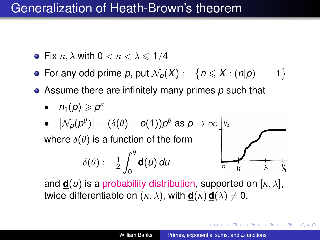### Generalization of Heath-Brown's theorem

- Fix  $\kappa$ ,  $\lambda$  with  $0 < \kappa < \lambda \leq 1/4$
- For any odd prime  $p$ , put  $\mathcal{N}_p(X) := \{ n \leqslant X : (n|p) = -1 \}$
- Assume there are infinitely many primes *p* such that
	- $n_1(p) \geqslant p^{\kappa}$
	- $\bullet$   $\left| \mathcal{N}_{\mathcal{P}}(\mathcal{P}^{\theta}) \right| = (\delta(\theta)+o(1))\mathcal{P}^{\theta}$  as  $\rho \rightarrow \infty$

where  $\delta(\theta)$  is a function of the form

$$
\delta(\theta) := \tfrac{1}{2} \int_0^\theta \underline{\mathbf{d}}(u) \, du
$$



**K ロ ト K 何 ト K ヨ ト K ヨ ト** 

 $2Q$ 

and  $\mathbf{d}(u)$  is a probability distribution, supported on  $[\kappa, \lambda]$ , twice-differentiable on  $(\kappa, \lambda)$ , with  $\mathbf{d}(\kappa) \mathbf{d}(\lambda) \neq 0$ .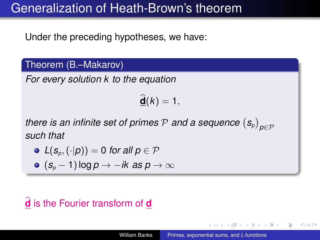### Generalization of Heath-Brown's theorem

Under the preceding hypotheses, we have:

Theorem (B.–Makarov)

*For every solution k to the equation*

 $\widehat{\mathbf{d}}(k) = 1,$ 

*there is an infinite set of primes*  $\mathcal P$  *and a sequence*  $\left( \mathbf{s}_\rho \right)_{\rho \in \mathcal P}$ *such that*

• 
$$
L(s_p, (\cdot | p)) = 0
$$
 for all  $p \in \mathcal{P}$ 

$$
\bullet \ (s_p - 1) \log p \to -ik \ as \ p \to \infty
$$

## **d** is the Fourier transform of **d**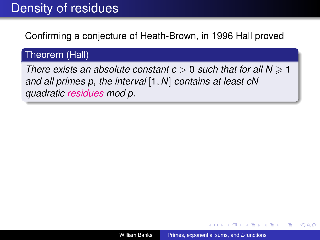# Density of residues

Confirming a conjecture of Heath-Brown, in 1996 Hall proved

### Theorem (Hall)

*There exists an absolute constant c*  $> 0$  *such that for all N*  $\geq 1$ *and all primes p, the interval* [1, *N*] *contains at least cN quadratic residues mod p.*

K 何 ▶ K ヨ ▶ K ヨ ▶ ...

ă.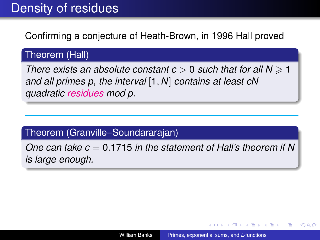# Density of residues

Confirming a conjecture of Heath-Brown, in 1996 Hall proved

### Theorem (Hall)

*There exists an absolute constant c* > 0 *such that for all N* > 1 *and all primes p, the interval* [1, *N*] *contains at least cN quadratic residues mod p.*

#### Theorem (Granville–Soundararajan)

*One can take c* = 0.1715 *in the statement of Hall's theorem if N is large enough.*

 $QQ$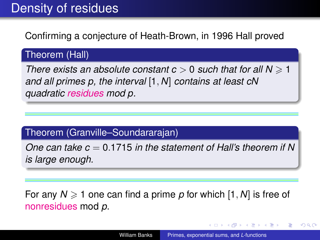# Density of residues

Confirming a conjecture of Heath-Brown, in 1996 Hall proved

### Theorem (Hall)

*There exists an absolute constant c* > 0 *such that for all N* > 1 *and all primes p, the interval* [1, *N*] *contains at least cN quadratic residues mod p.*

#### Theorem (Granville–Soundararajan)

*One can take c* = 0.1715 *in the statement of Hall's theorem if N is large enough.*

For any  $N \geq 1$  one can find a prime p for which [1, N] is free of nonresidues mod *p*.

イロト イ押 トイヨ トイヨ トー

ă.  $QQ$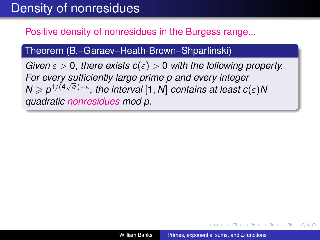## Density of nonresidues

### Positive density of nonresidues in the Burgess range...

#### Theorem (B.–Garaev–Heath-Brown–Shparlinski)

*Given*  $\varepsilon > 0$ , there exists  $c(\varepsilon) > 0$  with the following property. *For every sufficiently large prime p and every integer*  $N \geq p^{1/(4\sqrt{e})+\varepsilon}$ , the interval [1, *N*] contains at least  $c(\varepsilon)N$ *quadratic nonresidues mod p.*

K 何 ▶ K ヨ ▶ K ヨ ▶ ...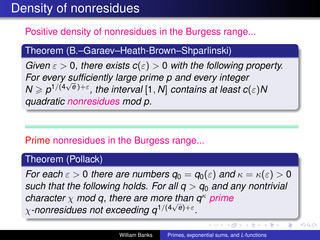## Density of nonresidues

### Positive density of nonresidues in the Burgess range...

#### Theorem (B.–Garaev–Heath-Brown–Shparlinski)

*Given*  $\varepsilon > 0$ , there exists  $c(\varepsilon) > 0$  with the following property. *For every sufficiently large prime p and every integer* √  $N \geqslant \rho^{1/(4\sqrt{e})+\varepsilon}$ , the interval  $[1,N]$  contains at least  $c(\varepsilon)N$ *quadratic nonresidues mod p.*

#### Prime nonresidues in the Burgess range...

#### Theorem (Pollack)

*For each*  $\varepsilon > 0$  *there are numbers*  $q_0 = q_0(\varepsilon)$  *and*  $\kappa = \kappa(\varepsilon) > 0$ *such that the following holds. For all*  $q > q_0$  *and any nontrivial character*  $\chi$  *mod q, there are more than q<sup>κ</sup> prime* χ*-nonresidues not exceeding q*1/(<sup>4</sup> *e*)+ε *.*

**K ロ ト K 何 ト K ヨ ト K ヨ ト** 

ă

 $290$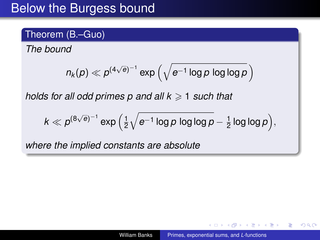## Below the Burgess bound

### Theorem (B.–Guo)

*The bound*

$$
\eta_k(p) \ll p^{(4\sqrt{\varrho})^{-1}}\exp\left(\sqrt{e^{-1}\log p\, \log\log p}\,\right)
$$

*holds for all odd primes p and all*  $k \geq 1$  *such that* 

$$
k \ll p^{(8\sqrt{e})^{-1}} \exp\Big(\tfrac{1}{2}\sqrt{e^{-1}\log p\log\log p} - \tfrac{1}{2}\log\log p\Big),
$$

*where the implied constants are absolute*

 $2990$ 

B

医电影 医医家庭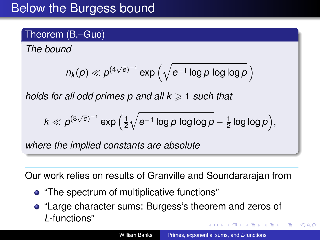## Below the Burgess bound

### Theorem (B.–Guo)

*The bound*

$$
\eta_k(p) \ll p^{(4\sqrt{\varrho})^{-1}}\exp\left(\sqrt{e^{-1}\log p\, \log\log p}\,\right)
$$

*holds for all odd primes p and all*  $k \geq 1$  *such that* 

$$
k \ll p^{(8\sqrt{e})^{-1}}\exp\Big(\tfrac{1}{2}\sqrt{e^{-1}\log p\log\log p}-\tfrac{1}{2}\log\log p\Big),
$$

*where the implied constants are absolute*

Our work relies on results of Granville and Soundararajan from

- "The spectrum of multiplicative functions"
- "Large character sums: Burgess's theorem and zeros of *L*-functions" K 何 ▶ K ヨ ▶ K ヨ ▶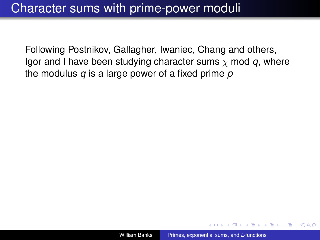Following Postnikov, Gallagher, Iwaniec, Chang and others, Igor and I have been studying character sums  $\chi$  mod  $q$ , where the modulus *q* is a large power of a fixed prime *p*

医电子 化重子

 $QQ$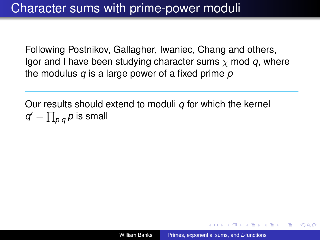Following Postnikov, Gallagher, Iwaniec, Chang and others, Igor and I have been studying character sums  $\chi$  mod  $q$ , where the modulus *q* is a large power of a fixed prime *p*

Our results should extend to moduli *q* for which the kernel  $q' = \prod_{\substack{p \mid q}} p$  is small

K 何 ▶ K ヨ ▶ K ヨ ▶ ...

 $QQ$ э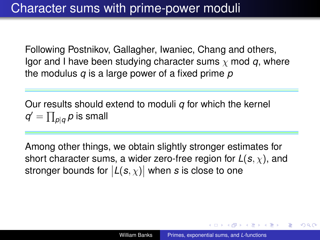Following Postnikov, Gallagher, Iwaniec, Chang and others, Igor and I have been studying character sums  $\chi$  mod  $q$ , where the modulus *q* is a large power of a fixed prime *p*

Our results should extend to moduli *q* for which the kernel  $q' = \prod_{\substack{p \mid q}} p$  is small

Among other things, we obtain slightly stronger estimates for short character sums, a wider zero-free region for *L*(*s*, χ), and stronger bounds for  $|{\mathcal L}({\boldsymbol s},\chi)|$  when  ${\boldsymbol s}$  is close to one

イロト イ押 トイヨ トイヨ トー

 $QQ$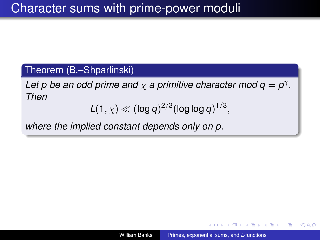### Theorem (B.–Shparlinski)

Let p be an odd prime and  $\chi$  a primitive character mod  $q = p^{\gamma}$ . *Then*

$$
L(1,\chi) \ll (\log q)^{2/3} (\log \log q)^{1/3},
$$

*where the implied constant depends only on p.*

K 何 ▶ K ヨ ▶ K ヨ ▶ ...

B

 $QQ$